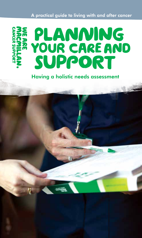A practical guide to living with and after cancer



Having a holistic needs assessment

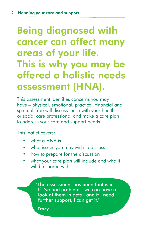## Being diagnosed with cancer can affect many areas of your life. This is why you may be offered a holistic needs assessment (HNA).

This assessment identifies concerns you may have – physical, emotional, practical, financial and spiritual. You will discuss these with your health or social care professional and make a care plan to address your care and support needs.

This leaflet covers:

- what a HNA is
- what issues you may wish to discuss
- how to prepare for the discussion
- what your care plan will include and who it will be shared with.

'The assessment has been fantastic. If I've had problems, we can have a look at them in detail and if I need further support, I can get it.'

**Tracy**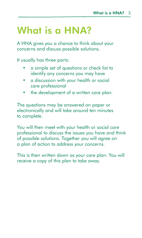### What is a HNA?

A HNA gives you a chance to think about your concerns and discuss possible solutions.

It usually has three parts:

- a simple set of questions or check list to identify any concerns you may have
- a discussion with your health or social care professional
- the development of a written care plan.

The questions may be answered on paper or electronically and will take around ten minutes to complete.

You will then meet with your health or social care professional to discuss the issues you have and think of possible solutions. Together you will agree on a plan of action to address your concerns.

This is then written down as your care plan. You will receive a copy of this plan to take away.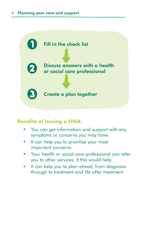

#### Benefits of having a HNA:

- You can get information and support with any symptoms or concerns you may have.
- It can help you to prioritise your most important concerns.
- Your health or social care professional can refer you to other services, if this would help.
- It can help you to plan ahead, from diagnosis through to treatment and life after treatment.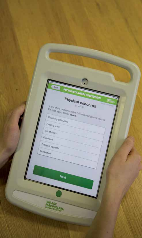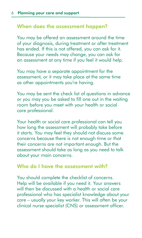#### When does the assessment happen?

You may be offered an assessment around the time of your diagnosis, during treatment or after treatment has ended. If this is not offered, you can ask for it. Because your needs may change, you can ask for an assessment at any time if you feel it would help.

You may have a separate appointment for the assessment, or it may take place at the same time as other appointments you're having.

You may be sent the check list of questions in advance or you may you be asked to fill one out in the waiting room before you meet with your health or social care professional.

Your health or social care professional can tell you how long the assessment will probably take before it starts. You may feel they should not discuss some concerns because there is not enough time or that their concerns are not important enough. But the assessment should take as long as you need to talk about your main concerns.

#### Who do I have the assessment with?

You should complete the checklist of concerns. Help will be available if you need it. Your answers will then be discussed with a health or social care professional who has specialist knowledge about your care – usually your key worker. This will often be your clinical nurse specialist (CNS) or assessment officer.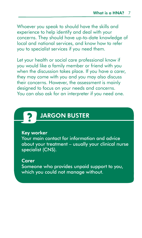Whoever you speak to should have the skills and experience to help identify and deal with your concerns. They should have up-to-date knowledge of local and national services, and know how to refer you to specialist services if you need them.

Let your health or social care professional know if you would like a family member or friend with you when the discussion takes place. If you have a carer, they may come with you and you may also discuss their concerns. However, the assessment is mainly designed to focus on your needs and concerns. You can also ask for an interpreter if you need one.

### JARGON BUSTER

#### Key worker

Your main contact for information and advice about your treatment – usually your clinical nurse specialist (CNS).

#### Carer

Someone who provides unpaid support to you, which you could not manage without.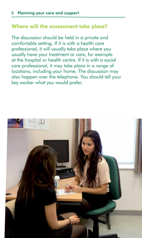#### Where will the assessment take place?

The discussion should be held in a private and comfortable setting. If it is with a health care professional, it will usually take place where you usually have your treatment or care, for example at the hospital or health centre. If it is with a social care professional, it may take place in a range of locations, including your home. The discussion may also happen over the telephone. You should tell your key worker what you would prefer.

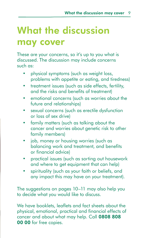## What the discussion may cover

These are your concerns, so it's up to you what is discussed. The discussion may include concerns such as:

- physical symptoms (such as weight loss, problems with appetite or eating, and tiredness)
- treatment issues (such as side effects, fertility, and the risks and benefits of treatment)
- emotional concerns (such as worries about the future and relationships)
- sexual concerns (such as erectile dysfunction or loss of sex drive)
- family matters (such as talking about the cancer and worries about genetic risk to other family members)
- job, money or housing worries (such as balancing work and treatment, and benefits or financial advice)
- practical issues (such as sorting out housework and where to get equipment that can help)
- spirituality (such as your faith or beliefs, and any impact this may have on your treatment).

The suggestions on pages 10–11 may also help you to decide what you would like to discuss.

We have booklets, leaflets and fact sheets about the physical, emotional, practical and financial effects of cancer and about what may help. Call 0808 808 00 00 for free copies.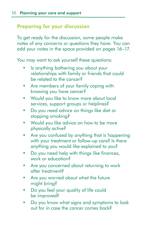### Preparing for your discussion

To get ready for the discussion, some people make notes of any concerns or questions they have. You can add your notes in the space provided on pages 16–17.

You may want to ask yourself these questions:

- Is anything bothering you about your relationships with family or friends that could be related to the cancer?
- Are members of your family coping with knowing you have cancer?
- Would you like to know more about local services, support groups or helplines?
- Do you need advice on things like diet or stopping smoking?
- Would you like advice on how to be more physically active?
- Are you confused by anything that is happening with your treatment or follow-up care? Is there anything you would like explained to you?
- Do you need help with things like finances, work or education?
- Are you concerned about returning to work after treatment?
- Are you worried about what the future might bring?
- Do you feel your quality of life could be improved?
- Do you know what signs and symptoms to look out for in case the cancer comes back?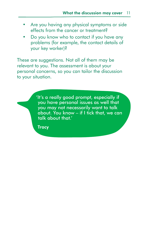- Are you having any physical symptoms or side effects from the cancer or treatment?
- Do you know who to contact if you have any problems (for example, the contact details of your key worker)?

These are suggestions. Not all of them may be relevant to you. The assessment is about your personal concerns, so you can tailor the discussion to your situation.

> 'It's a really good prompt, especially if you have personal issues as well that you may not necessarily want to talk about. You know – if I tick that, we can talk about that.'

**Tracy**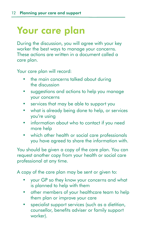## Your care plan

During the discussion, you will agree with your key worker the best ways to manage your concerns. These actions are written in a document called a care plan.

Your care plan will record:

- the main concerns talked about during the discussion
- suggestions and actions to help you manage your concerns
- services that may be able to support you
- what is already being done to help, or services you're using
- information about who to contact if you need more help
- which other health or social care professionals you have agreed to share the information with.

You should be given a copy of the care plan. You can request another copy from your health or social care professional at any time.

A copy of the care plan may be sent or given to:

- your GP so they know your concerns and what is planned to help with them
- other members of your healthcare team to help them plan or improve your care
- specialist support services (such as a dietitian, counsellor, benefits adviser or family support worker).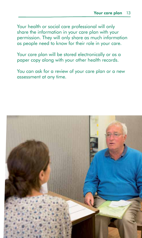Your health or social care professional will only share the information in your care plan with your permission. They will only share as much information as people need to know for their role in your care.

Your care plan will be stored electronically or as a paper copy along with your other health records.

You can ask for a review of your care plan or a new assessment at any time.

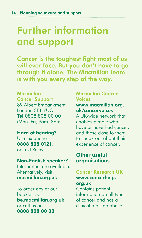### Further information and support

Cancer is the toughest fight most of us will ever face. But you don't have to go through it alone. The Macmillan team is with you every step of the way.

#### Macmillan Cancer Support 89 Albert Embankment, London SE1 7UQ Tel 0808 808 00 00 (Mon–Fri, 9am–8pm)

Hard of hearing? Use textphone 0808 808 0121, or Text Relay.

### Non-English speaker?

Interpreters are available. Alternatively, visit macmillan.org.uk

To order any of our booklets, visit be.macmillan.org.uk or call us on 0808 808 00 00.

#### Macmillan Cancer Voices

#### www.macmillan.org. uk/cancervoices

A UK-wide network that enables people who have or have had cancer, and those close to them, to speak out about their experience of cancer.

#### Other useful organisations

#### Cancer Research UK www.cancerhelp. org.uk

Contains patient information on all types of cancer and has a clinical trials database.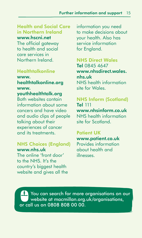#### Health and Social Care in Northern Ireland www.hscni.net The official gateway

to health and social care services in Northern Ireland.

### **Healthtalkonline**

#### www. healthtalkonline.org www.

youthhealthtalk.org Both websites contain information about some cancers and have video and audio clips of people talking about their experiences of cancer and its treatments.

#### NHS Choices (England) www.nhs.uk

The online 'front door' to the NHS. It's the country's biggest health website and gives all the

information you need to make decisions about your health. Also has service information for England.

#### NHS Direct Wales Tel 0845 4647 www.nhsdirect.wales. nhs.uk NHS health information

site for Wales.

#### NHS Inform (Scotland) Tel 111 www.nhsinform.co.uk NHS health information

### site for Scotland.

#### Patient UK

www.patient.co.uk Provides information about health and illnesses.

You can search for more organisations on our website at macmillan.org.uk/organisations, or call us on 0808 808 00 00.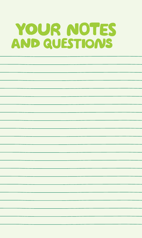# YOUR NOTES **AND QUESTIONS**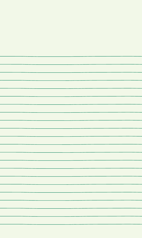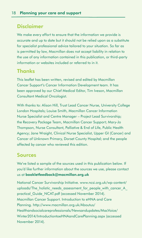#### Disclaimer

We make every effort to ensure that the information we provide is accurate and up to date but it should not be relied upon as a substitute for specialist professional advice tailored to your situation. So far as is permitted by law, Macmillan does not accept liability in relation to the use of any information contained in this publication, or third-party information or websites included or referred to in it.

#### **Thanks**

This leaflet has been written, revised and edited by Macmillan Cancer Support's Cancer Information Development team. It has been approved by our Chief Medical Editor, Tim Iveson, Macmillan Consultant Medical Oncologist.

With thanks to: Alison Hill, Trust Lead Cancer Nurse, University College London Hospitals; Louise Smith, Macmillan Cancer Information Nurse Specialist and Centre Manager – Project Lead Survivorship; the Recovery Package Team, Macmillan Cancer Support; Mary-Jo Thompson, Nurse Consultant, Palliative & End of Life, Public Health Agency; Jane Wraight, Clinical Nurse Specialist, Upper GI (Cancer) and Cancer of Unknown Primary, Dorset County Hospital; and the people affected by cancer who reviewed this edition.

#### Sources

We've listed a sample of the sources used in this publication below. If you'd like further information about the sources we use, please contact us at bookletfeedback@macmillan.org.uk

National Cancer Survivorship Initiative. www.ncsi.org.uk/wp-content/ uploads/The holistic needs assessment for people with cancer A practical Guide NCAT.pdf (accessed November 2014). Macmillan Cancer Support. Introduction to eHNA and Care Planning. http://www.macmillan.org.uk/Aboutus/ Healthandsocialcareprofessionals/Newsandupdates/MacVoice/ Winter2014/IntroductiontoeHNAandCarePlanning.aspx (accessed November 2014).